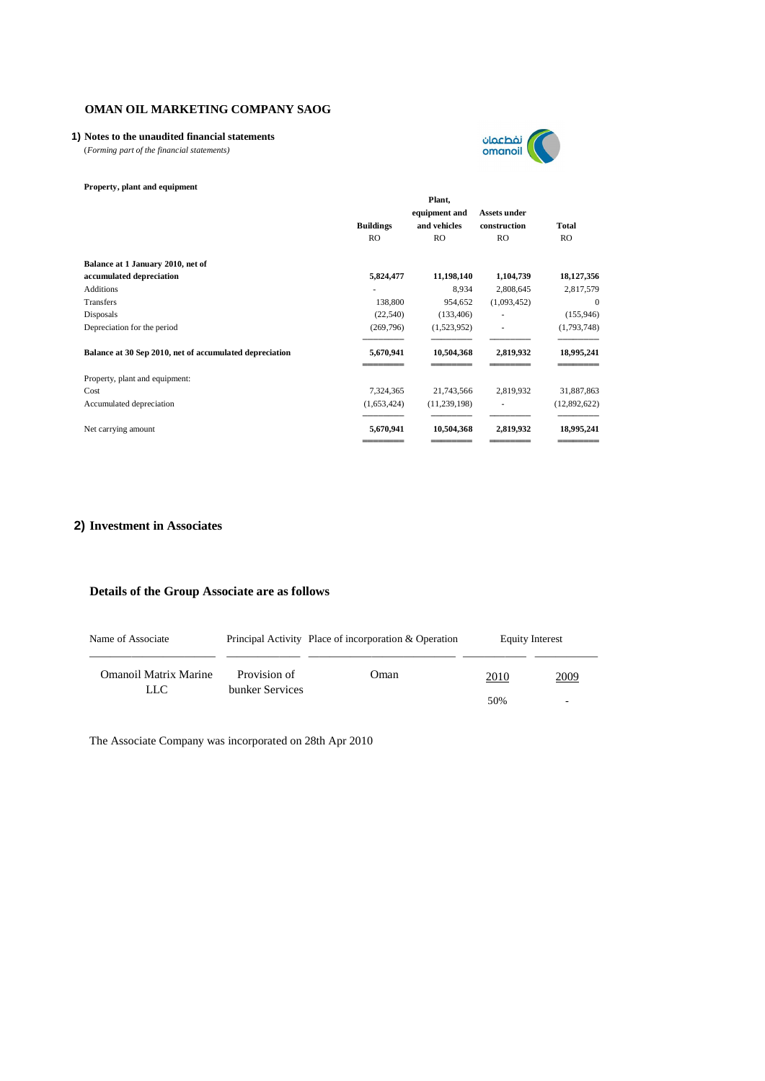### **1) Notes to the unaudited financial statements**

(*Forming part of the financial statements)*



### **Property, plant and equipment**

|                                                         | Plant,<br>equipment and |                | <b>Assets under</b> |              |  |
|---------------------------------------------------------|-------------------------|----------------|---------------------|--------------|--|
|                                                         | <b>Buildings</b>        | and vehicles   | construction        | Total        |  |
|                                                         | R <sub>O</sub>          | <b>RO</b>      | <b>RO</b>           | <b>RO</b>    |  |
| Balance at 1 January 2010, net of                       |                         |                |                     |              |  |
| accumulated depreciation                                | 5,824,477               | 11,198,140     | 1,104,739           | 18,127,356   |  |
| <b>Additions</b>                                        |                         | 8,934          | 2,808,645           | 2,817,579    |  |
| Transfers                                               | 138,800                 | 954,652        | (1,093,452)         | $\theta$     |  |
| Disposals                                               | (22, 540)               | (133, 406)     |                     | (155, 946)   |  |
| Depreciation for the period                             | (269, 796)              | (1,523,952)    |                     | (1,793,748)  |  |
| Balance at 30 Sep 2010, net of accumulated depreciation | 5,670,941               | 10,504,368     | 2,819,932           | 18,995,241   |  |
| Property, plant and equipment:                          |                         |                |                     |              |  |
| Cost                                                    | 7,324,365               | 21,743,566     | 2,819,932           | 31,887,863   |  |
| Accumulated depreciation                                | (1,653,424)             | (11, 239, 198) |                     | (12,892,622) |  |
| Net carrying amount                                     | 5,670,941               | 10,504,368     | 2,819,932           | 18,995,241   |  |
|                                                         |                         |                |                     |              |  |

### **2) Investment in Associates**

### **Details of the Group Associate are as follows**

| Name of Associate     |                                 | Principal Activity Place of incorporation & Operation | <b>Equity Interest</b> |             |
|-----------------------|---------------------------------|-------------------------------------------------------|------------------------|-------------|
| Omanoil Matrix Marine | Provision of<br>bunker Services | Oman                                                  | 2010                   | <u>2009</u> |
| LLC.                  |                                 |                                                       | 50%                    |             |

The Associate Company was incorporated on 28th Apr 2010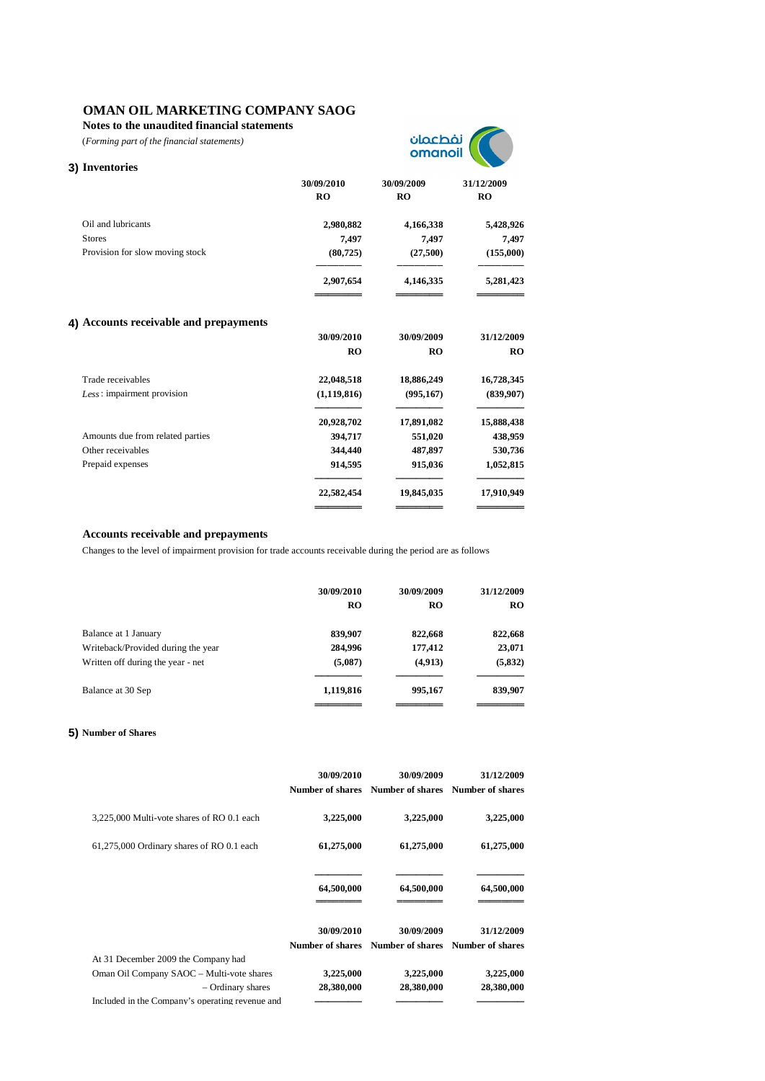**Notes to the unaudited financial statements**

(*Forming part of the financial statements)*



| 3) Inventories                         |                  |                  |                  |
|----------------------------------------|------------------|------------------|------------------|
|                                        | 30/09/2010<br>RO | 30/09/2009<br>RO | 31/12/2009<br>RO |
| Oil and lubricants                     | 2,980,882        | 4,166,338        | 5,428,926        |
| <b>Stores</b>                          | 7,497            | 7,497            | 7,497            |
| Provision for slow moving stock        | (80, 725)        | (27,500)         | (155,000)        |
|                                        | 2,907,654        | 4,146,335        | 5,281,423        |
| 4) Accounts receivable and prepayments |                  |                  |                  |
|                                        | 30/09/2010       | 30/09/2009       | 31/12/2009       |
|                                        | RO               | RO               | <b>RO</b>        |
| Trade receivables                      | 22,048,518       | 18,886,249       | 16,728,345       |
| Less : impairment provision            | (1, 119, 816)    | (995, 167)       | (839,907)        |
|                                        | 20,928,702       | 17,891,082       | 15,888,438       |
| Amounts due from related parties       | 394,717          | 551,020          | 438,959          |
| Other receivables                      | 344,440          | 487,897          | 530,736          |
| Prepaid expenses                       | 914,595          | 915,036          | 1,052,815        |
|                                        | 22,582,454       | 19,845,035       | 17,910,949       |
|                                        |                  |                  |                  |

### **Accounts receivable and prepayments**

Changes to the level of impairment provision for trade accounts receivable during the period are as follows

|                                    | 30/09/2010<br><b>RO</b> | 30/09/2009<br><b>RO</b> | 31/12/2009<br>RO. |
|------------------------------------|-------------------------|-------------------------|-------------------|
| Balance at 1 January               | 839,907                 | 822,668                 | 822,668           |
| Writeback/Provided during the year | 284,996                 | 177,412                 | 23,071            |
| Written off during the year - net  | (5,087)                 | (4,913)                 | (5,832)           |
| Balance at 30 Sep                  | 1,119,816               | 995,167                 | 839,907           |
|                                    |                         |                         |                   |

### **5) Number of Shares**

|                                                 | 30/09/2010<br>Number of shares | 30/09/2009<br>Number of shares | 31/12/2009<br>Number of shares |
|-------------------------------------------------|--------------------------------|--------------------------------|--------------------------------|
| 3,225,000 Multi-vote shares of RO 0.1 each      | 3,225,000                      | 3,225,000                      | 3,225,000                      |
| 61,275,000 Ordinary shares of RO 0.1 each       | 61,275,000                     | 61,275,000                     | 61,275,000                     |
|                                                 | 64,500,000                     | 64,500,000                     | 64,500,000                     |
|                                                 | 30/09/2010<br>Number of shares | 30/09/2009<br>Number of shares | 31/12/2009<br>Number of shares |
| At 31 December 2009 the Company had             |                                |                                |                                |
| Oman Oil Company SAOC - Multi-vote shares       | 3,225,000                      | 3,225,000                      | 3,225,000                      |
| - Ordinary shares                               | 28,380,000                     | 28,380,000                     | 28,380,000                     |
| Included in the Company's operating revenue and |                                |                                |                                |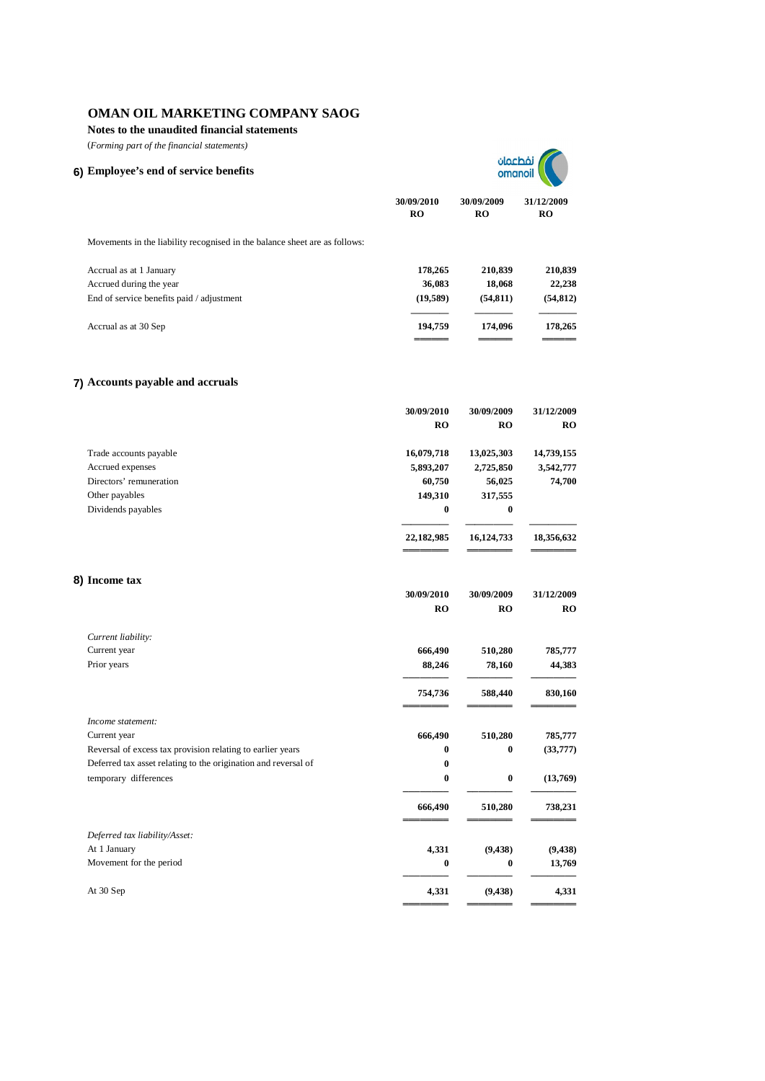**Notes to the unaudited financial statements**

(*Forming part of the financial statements)*

## **6) Employee's end of service benefits**



**30/09/2010 30/09/2009 31/12/2009 RO RO RO**

Movements in the liability recognised in the balance sheet are as follows:

| Accrual as at 1 January                   | 178.265  | 210,839  | 210,839   |
|-------------------------------------------|----------|----------|-----------|
| Accrued during the year                   | 36,083   | 18,068   | 22,238    |
| End of service benefits paid / adjustment | (19.589) | (54.811) | (54, 812) |
| Accrual as at 30 Sep                      | 194.759  | 174,096  | 178,265   |
|                                           |          |          |           |

### **7) Accounts payable and accruals**

|                                                                | 30/09/2010 | 30/09/2009 | 31/12/2009 |
|----------------------------------------------------------------|------------|------------|------------|
|                                                                | RO         | RO         | <b>RO</b>  |
| Trade accounts payable                                         | 16,079,718 | 13,025,303 | 14,739,155 |
| Accrued expenses                                               | 5,893,207  | 2,725,850  | 3,542,777  |
| Directors' remuneration                                        | 60,750     | 56,025     | 74,700     |
| Other payables                                                 | 149,310    | 317,555    |            |
| Dividends payables                                             | $\bf{0}$   | 0          |            |
|                                                                | 22,182,985 | 16,124,733 | 18,356,632 |
| 8) Income tax                                                  |            |            |            |
|                                                                | 30/09/2010 | 30/09/2009 | 31/12/2009 |
|                                                                | RO         | RO         | <b>RO</b>  |
| Current liability:                                             |            |            |            |
| Current year                                                   | 666,490    | 510,280    | 785,777    |
| Prior years                                                    | 88,246     | 78,160     | 44,383     |
|                                                                | 754,736    | 588,440    | 830,160    |
| Income statement:                                              |            |            |            |
| Current year                                                   | 666,490    | 510,280    | 785,777    |
| Reversal of excess tax provision relating to earlier years     | $\bf{0}$   | $\bf{0}$   | (33, 777)  |
| Deferred tax asset relating to the origination and reversal of | $\bf{0}$   |            |            |
| temporary differences                                          | $\bf{0}$   | $\bf{0}$   | (13,769)   |
|                                                                | 666,490    | 510,280    | 738,231    |
| Deferred tax liability/Asset:                                  |            |            |            |
| At 1 January                                                   | 4,331      | (9, 438)   | (9, 438)   |
| Movement for the period                                        | $\bf{0}$   | 0          | 13,769     |
| At 30 Sep                                                      | 4,331      | (9, 438)   | 4,331      |
|                                                                |            |            |            |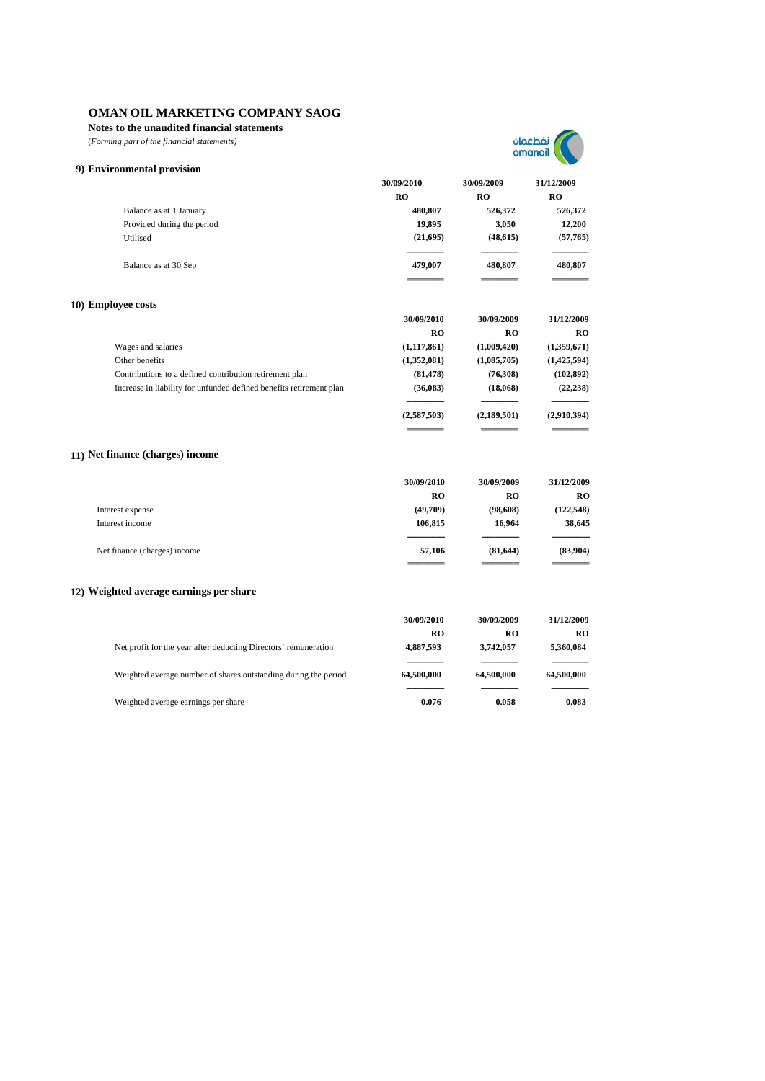**Notes to the unaudited financial statements**

(*Forming part of the financial statements)*



| 9) Environmental provision                                          |               |             |               |
|---------------------------------------------------------------------|---------------|-------------|---------------|
|                                                                     | 30/09/2010    | 30/09/2009  | 31/12/2009    |
|                                                                     | <b>RO</b>     | <b>RO</b>   | <b>RO</b>     |
| Balance as at 1 January                                             | 480,807       | 526,372     | 526,372       |
| Provided during the period                                          | 19,895        | 3,050       | 12,200        |
| Utilised                                                            | (21,695)      | (48, 615)   | (57,765)      |
| Balance as at 30 Sep                                                | 479,007       | 480,807     | 480,807       |
| 10) Employee costs                                                  |               |             |               |
|                                                                     | 30/09/2010    | 30/09/2009  | 31/12/2009    |
|                                                                     | RO            | <b>RO</b>   | <b>RO</b>     |
| Wages and salaries                                                  | (1, 117, 861) | (1,009,420) | (1,359,671)   |
| Other benefits                                                      | (1,352,081)   | (1,085,705) | (1, 425, 594) |
| Contributions to a defined contribution retirement plan             | (81, 478)     | (76,308)    | (102, 892)    |
| Increase in liability for unfunded defined benefits retirement plan | (36,083)      | (18,068)    | (22, 238)     |
|                                                                     | (2,587,503)   | (2,189,501) | (2,910,394)   |
| 11) Net finance (charges) income                                    |               |             |               |
|                                                                     | 30/09/2010    | 30/09/2009  | 31/12/2009    |
|                                                                     | <b>RO</b>     | <b>RO</b>   | <b>RO</b>     |
| Interest expense                                                    | (49,709)      | (98, 608)   | (122, 548)    |
| Interest income                                                     | 106,815       | 16,964      | 38,645        |
| Net finance (charges) income                                        | 57,106        | (81, 644)   | (83,904)      |
| 12) Weighted average earnings per share                             |               |             |               |
|                                                                     | 30/09/2010    | 30/09/2009  | 31/12/2009    |
|                                                                     | <b>RO</b>     | RO          | <b>RO</b>     |
| Net profit for the year after deducting Directors' remuneration     | 4,887,593     | 3,742,057   | 5,360,084     |
| Weighted average number of shares outstanding during the period     | 64,500,000    | 64,500,000  | 64,500,000    |
| Weighted average earnings per share                                 | 0.076         | 0.058       | 0.083         |